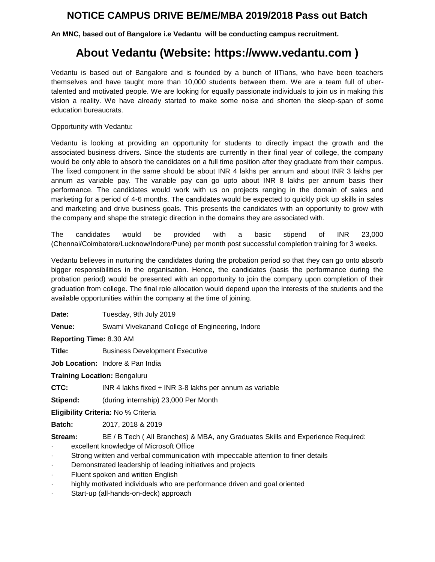## **NOTICE CAMPUS DRIVE BE/ME/MBA 2019/2018 Pass out Batch**

**An MNC, based out of Bangalore i.e Vedantu will be conducting campus recruitment.**

## **About Vedantu (Website: https://www.vedantu.com )**

Vedantu is based out of Bangalore and is founded by a bunch of IITians, who have been teachers themselves and have taught more than 10,000 students between them. We are a team full of ubertalented and motivated people. We are looking for equally passionate individuals to join us in making this vision a reality. We have already started to make some noise and shorten the sleep-span of some education bureaucrats.

Opportunity with Vedantu:

Vedantu is looking at providing an opportunity for students to directly impact the growth and the associated business drivers. Since the students are currently in their final year of college, the company would be only able to absorb the candidates on a full time position after they graduate from their campus. The fixed component in the same should be about INR 4 lakhs per annum and about INR 3 lakhs per annum as variable pay. The variable pay can go upto about INR 8 lakhs per annum basis their performance. The candidates would work with us on projects ranging in the domain of sales and marketing for a period of 4-6 months. The candidates would be expected to quickly pick up skills in sales and marketing and drive business goals. This presents the candidates with an opportunity to grow with the company and shape the strategic direction in the domains they are associated with.

The candidates would be provided with a basic stipend of INR 23,000 (Chennai/Coimbatore/Lucknow/Indore/Pune) per month post successful completion training for 3 weeks.

Vedantu believes in nurturing the candidates during the probation period so that they can go onto absorb bigger responsibilities in the organisation. Hence, the candidates (basis the performance during the probation period) would be presented with an opportunity to join the company upon completion of their graduation from college. The final role allocation would depend upon the interests of the students and the available opportunities within the company at the time of joining.

Date: Tuesday, 9th July 2019

**Venue:** Swami Vivekanand College of Engineering, Indore

**Reporting Time:** 8.30 AM

**Title:** Business Development Executive

**Job Location:** Indore & Pan India

**Training Location:** Bengaluru

**CTC:** INR 4 lakhs fixed + INR 3-8 lakhs per annum as variable

**Stipend:** (during internship) 23,000 Per Month

**Eligibility Criteria:** No % Criteria

**Batch:** 2017, 2018 & 2019

**Stream:** BE / B Tech ( All Branches) & MBA, any Graduates Skills and Experience Required:

- excellent knowledge of Microsoft Office
- Strong written and verbal communication with impeccable attention to finer details
- Demonstrated leadership of leading initiatives and projects
- Fluent spoken and written English
- highly motivated individuals who are performance driven and goal oriented
- Start-up (all-hands-on-deck) approach